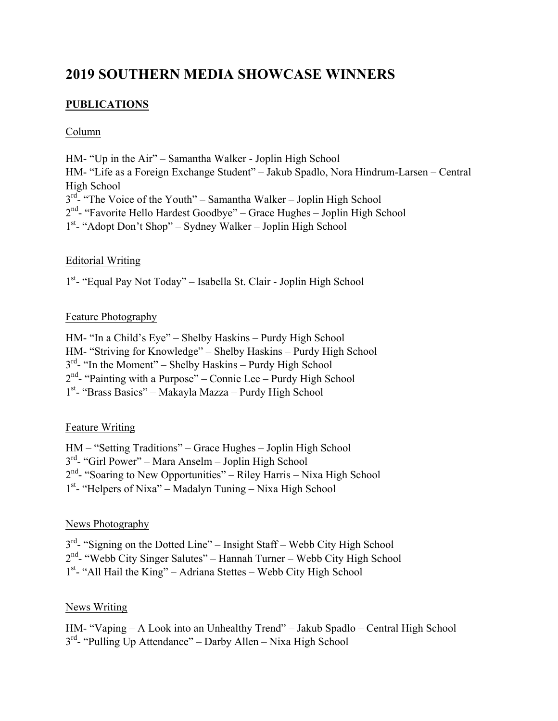# **2019 SOUTHERN MEDIA SHOWCASE WINNERS**

# **PUBLICATIONS**

#### Column

HM- "Up in the Air" – Samantha Walker - Joplin High School HM- "Life as a Foreign Exchange Student" – Jakub Spadlo, Nora Hindrum-Larsen – Central High School  $3<sup>rd</sup>$  "The Voice of the Youth" – Samantha Walker – Joplin High School  $2<sup>nd</sup>$ - "Favorite Hello Hardest Goodbye" – Grace Hughes – Joplin High School 1<sup>st</sup>- "Adopt Don't Shop" – Sydney Walker – Joplin High School

## Editorial Writing

1<sup>st</sup>- "Equal Pay Not Today" - Isabella St. Clair - Joplin High School

## Feature Photography

HM- "In a Child's Eye" – Shelby Haskins – Purdy High School HM- "Striving for Knowledge" – Shelby Haskins – Purdy High School  $3<sup>rd</sup>$ - "In the Moment" – Shelby Haskins – Purdy High School  $2<sup>nd</sup>$ - "Painting with a Purpose" – Connie Lee – Purdy High School 1<sup>st</sup>- "Brass Basics" – Makayla Mazza – Purdy High School

# Feature Writing

HM – "Setting Traditions" – Grace Hughes – Joplin High School 3rd- "Girl Power" – Mara Anselm – Joplin High School  $2<sup>nd</sup>$ - "Soaring to New Opportunities" – Riley Harris – Nixa High School 1<sup>st</sup>- "Helpers of Nixa" – Madalyn Tuning – Nixa High School

#### News Photography

 $3<sup>rd</sup>$ - "Signing on the Dotted Line" – Insight Staff – Webb City High School  $2<sup>nd</sup>$ - "Webb City Singer Salutes" – Hannah Turner – Webb City High School 1<sup>st</sup>- "All Hail the King" – Adriana Stettes – Webb City High School

#### News Writing

HM- "Vaping – A Look into an Unhealthy Trend" – Jakub Spadlo – Central High School  $3<sup>rd</sup>$ - "Pulling Up Attendance" – Darby Allen – Nixa High School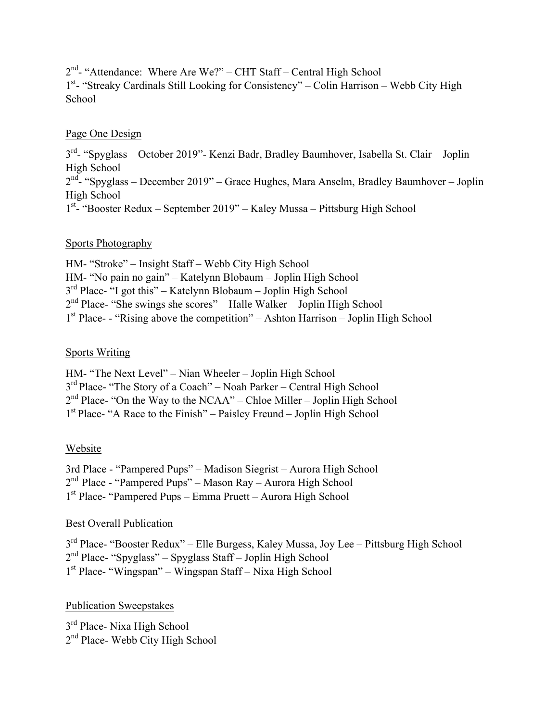2nd- "Attendance: Where Are We?" – CHT Staff – Central High School 1<sup>st</sup>- "Streaky Cardinals Still Looking for Consistency" – Colin Harrison – Webb City High **School** 

#### Page One Design

3rd- "Spyglass – October 2019"- Kenzi Badr, Bradley Baumhover, Isabella St. Clair – Joplin High School  $2<sup>nd</sup>$ - "Spyglass – December 2019" – Grace Hughes, Mara Anselm, Bradley Baumhover – Joplin High School 1<sup>st</sup>- "Booster Redux – September 2019" – Kaley Mussa – Pittsburg High School

## Sports Photography

HM- "Stroke" – Insight Staff – Webb City High School HM- "No pain no gain" – Katelynn Blobaum – Joplin High School  $3<sup>rd</sup>$  Place- "I got this" – Katelynn Blobaum – Joplin High School 2nd Place- "She swings she scores" – Halle Walker – Joplin High School  $1<sup>st</sup> Place- - "Rising above the competition" – Ashton Harrison – Joplin High School$ 

## Sports Writing

HM- "The Next Level" – Nian Wheeler – Joplin High School 3rd Place- "The Story of a Coach" – Noah Parker – Central High School  $2<sup>nd</sup> Place- "On the Way to the NCAA" – Chloe Miller – Joplin High School"$ 1st Place- "A Race to the Finish" – Paisley Freund – Joplin High School

# Website

3rd Place - "Pampered Pups" – Madison Siegrist – Aurora High School 2nd Place - "Pampered Pups" – Mason Ray – Aurora High School 1st Place- "Pampered Pups – Emma Pruett – Aurora High School

# Best Overall Publication

3rd Place- "Booster Redux" – Elle Burgess, Kaley Mussa, Joy Lee – Pittsburg High School 2nd Place- "Spyglass" – Spyglass Staff – Joplin High School 1st Place- "Wingspan" – Wingspan Staff – Nixa High School

# Publication Sweepstakes

 $3<sup>rd</sup>$  Place- Nixa High School 2<sup>nd</sup> Place- Webb City High School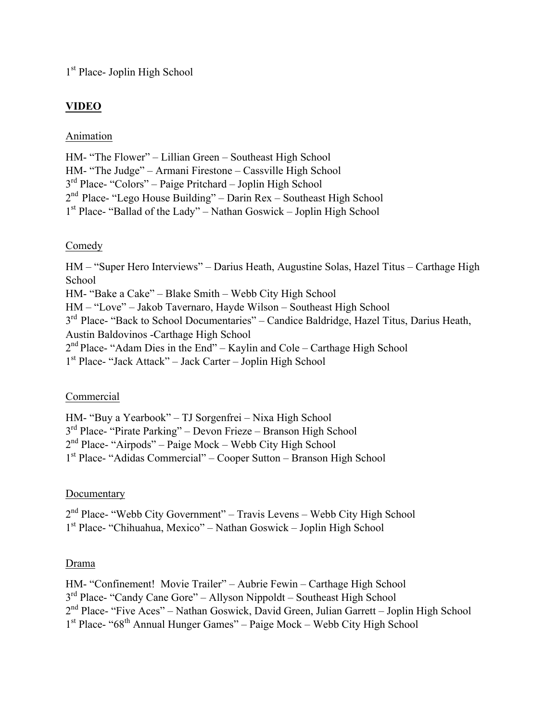1<sup>st</sup> Place- Joplin High School

# **VIDEO**

## Animation

HM- "The Flower" – Lillian Green – Southeast High School HM- "The Judge" – Armani Firestone – Cassville High School 3rd Place- "Colors" – Paige Pritchard – Joplin High School 2nd Place- "Lego House Building" – Darin Rex – Southeast High School 1st Place- "Ballad of the Lady" – Nathan Goswick – Joplin High School

## Comedy

HM – "Super Hero Interviews" – Darius Heath, Augustine Solas, Hazel Titus – Carthage High School HM- "Bake a Cake" – Blake Smith – Webb City High School HM – "Love" – Jakob Tavernaro, Hayde Wilson – Southeast High School 3<sup>rd</sup> Place- "Back to School Documentaries" – Candice Baldridge, Hazel Titus, Darius Heath, Austin Baldovinos -Carthage High School  $2<sup>nd</sup> Place- "Adam Dies in the End" – Kaylin and Cole – Carthage High School$ 1st Place- "Jack Attack" – Jack Carter – Joplin High School

#### Commercial

HM- "Buy a Yearbook" – TJ Sorgenfrei – Nixa High School 3rd Place- "Pirate Parking" – Devon Frieze – Branson High School 2nd Place- "Airpods" – Paige Mock – Webb City High School 1st Place- "Adidas Commercial" – Cooper Sutton – Branson High School

# Documentary

2nd Place- "Webb City Government" – Travis Levens – Webb City High School 1st Place- "Chihuahua, Mexico" – Nathan Goswick – Joplin High School

# Drama

HM- "Confinement! Movie Trailer" – Aubrie Fewin – Carthage High School 3rd Place- "Candy Cane Gore" – Allyson Nippoldt – Southeast High School 2nd Place- "Five Aces" – Nathan Goswick, David Green, Julian Garrett – Joplin High School  $1<sup>st</sup>$  Place- "68<sup>th</sup> Annual Hunger Games" – Paige Mock – Webb City High School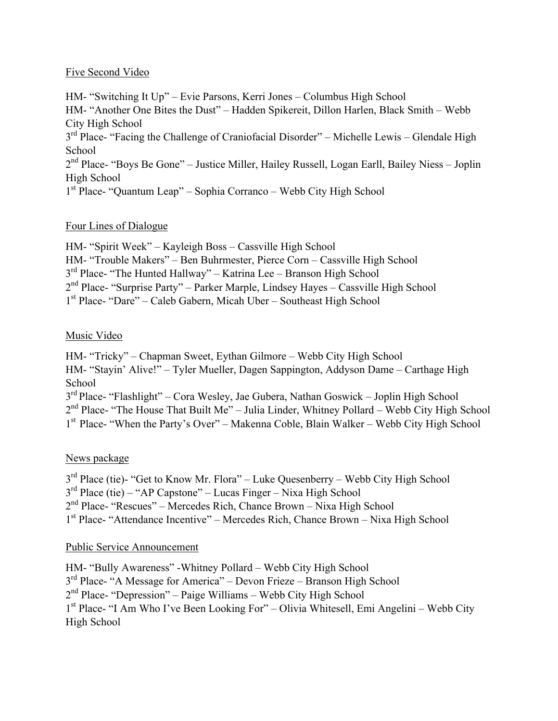#### Five Second Video

HM- "Switching It Up" – Evie Parsons, Kerri Jones – Columbus High School HM- "Another One Bites the Dust" – Hadden Spikereit, Dillon Harlen, Black Smith – Webb City High School 3<sup>rd</sup> Place- "Facing the Challenge of Craniofacial Disorder" – Michelle Lewis – Glendale High School 2nd Place- "Boys Be Gone" – Justice Miller, Hailey Russell, Logan Earll, Bailey Niess – Joplin High School 1st Place- "Quantum Leap" – Sophia Corranco – Webb City High School

## Four Lines of Dialogue

HM- "Spirit Week" – Kayleigh Boss – Cassville High School HM- "Trouble Makers" – Ben Buhrmester, Pierce Corn – Cassville High School 3rd Place- "The Hunted Hallway" – Katrina Lee – Branson High School 2nd Place- "Surprise Party" – Parker Marple, Lindsey Hayes – Cassville High School 1st Place- "Dare" – Caleb Gabern, Micah Uber – Southeast High School

# Music Video

HM- "Tricky" – Chapman Sweet, Eythan Gilmore – Webb City High School HM- "Stayin' Alive!" – Tyler Mueller, Dagen Sappington, Addyson Dame – Carthage High **School** 3rd Place- "Flashlight" – Cora Wesley, Jae Gubera, Nathan Goswick – Joplin High School  $2<sup>nd</sup>$  Place- "The House That Built Me" – Julia Linder, Whitney Pollard – Webb City High School 1st Place- "When the Party's Over" – Makenna Coble, Blain Walker – Webb City High School

# News package

3<sup>rd</sup> Place (tie)- "Get to Know Mr. Flora" – Luke Quesenberry – Webb City High School 3rd Place (tie) – "AP Capstone" – Lucas Finger – Nixa High School 2nd Place- "Rescues" – Mercedes Rich, Chance Brown – Nixa High School 1st Place- "Attendance Incentive" – Mercedes Rich, Chance Brown – Nixa High School

# Public Service Announcement

HM- "Bully Awareness" -Whitney Pollard – Webb City High School 3rd Place- "A Message for America" – Devon Frieze – Branson High School 2nd Place- "Depression" – Paige Williams – Webb City High School 1st Place- "I Am Who I've Been Looking For" – Olivia Whitesell, Emi Angelini – Webb City High School